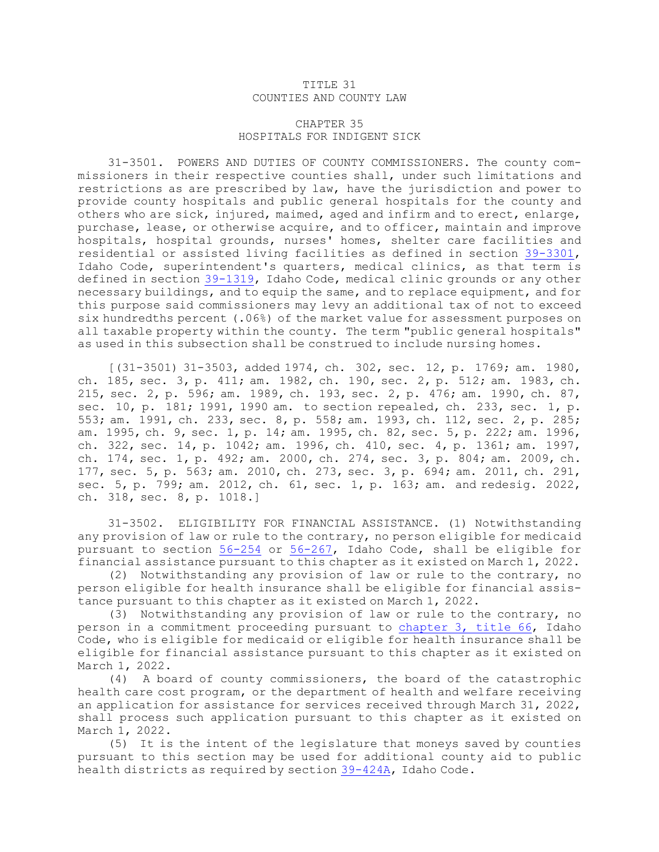## TITLE 31 COUNTIES AND COUNTY LAW

## CHAPTER 35 HOSPITALS FOR INDIGENT SICK

31-3501. POWERS AND DUTIES OF COUNTY COMMISSIONERS. The county commissioners in their respective counties shall, under such limitations and restrictions as are prescribed by law, have the jurisdiction and power to provide county hospitals and public general hospitals for the county and others who are sick, injured, maimed, aged and infirm and to erect, enlarge, purchase, lease, or otherwise acquire, and to officer, maintain and improve hospitals, hospital grounds, nurses' homes, shelter care facilities and residential or assisted living facilities as defined in section [39-3301](https://legislature.idaho.gov/statutesrules/idstat/Title39/T39CH33/SECT39-3301), Idaho Code, superintendent's quarters, medical clinics, as that term is defined in section [39-1319](https://legislature.idaho.gov/statutesrules/idstat/Title39/T39CH13/SECT39-1319), Idaho Code, medical clinic grounds or any other necessary buildings, and to equip the same, and to replace equipment, and for this purpose said commissioners may levy an additional tax of not to exceed six hundredths percent (.06%) of the market value for assessment purposes on all taxable property within the county. The term "public general hospitals" as used in this subsection shall be construed to include nursing homes.

[(31-3501) 31-3503, added 1974, ch. 302, sec. 12, p. 1769; am. 1980, ch. 185, sec. 3, p. 411; am. 1982, ch. 190, sec. 2, p. 512; am. 1983, ch. 215, sec. 2, p. 596; am. 1989, ch. 193, sec. 2, p. 476; am. 1990, ch. 87, sec. 10, p. 181; 1991, 1990 am. to section repealed, ch. 233, sec. 1, p. 553; am. 1991, ch. 233, sec. 8, p. 558; am. 1993, ch. 112, sec. 2, p. 285; am. 1995, ch. 9, sec. 1, p. 14; am. 1995, ch. 82, sec. 5, p. 222; am. 1996, ch. 322, sec. 14, p. 1042; am. 1996, ch. 410, sec. 4, p. 1361; am. 1997, ch. 174, sec. 1, p. 492; am. 2000, ch. 274, sec. 3, p. 804; am. 2009, ch. 177, sec. 5, p. 563; am. 2010, ch. 273, sec. 3, p. 694; am. 2011, ch. 291, sec. 5, p. 799; am. 2012, ch. 61, sec. 1, p. 163; am. and redesig. 2022, ch. 318, sec. 8, p. 1018.]

31-3502. ELIGIBILITY FOR FINANCIAL ASSISTANCE. (1) Notwithstanding any provision of law or rule to the contrary, no person eligible for medicaid pursuant to section [56-254](https://legislature.idaho.gov/statutesrules/idstat/Title56/T56CH2/SECT56-254) or [56-267](https://legislature.idaho.gov/statutesrules/idstat/Title56/T56CH2/SECT56-267), Idaho Code, shall be eligible for financial assistance pursuant to this chapter as it existed on March 1, 2022.

(2) Notwithstanding any provision of law or rule to the contrary, no person eligible for health insurance shall be eligible for financial assistance pursuant to this chapter as it existed on March 1, 2022.

(3) Notwithstanding any provision of law or rule to the contrary, no person in <sup>a</sup> commitment proceeding pursuant to [chapter](https://legislature.idaho.gov/statutesrules/idstat/Title66/T66CH3) 3, title 66, Idaho Code, who is eligible for medicaid or eligible for health insurance shall be eligible for financial assistance pursuant to this chapter as it existed on March 1, 2022.

(4) <sup>A</sup> board of county commissioners, the board of the catastrophic health care cost program, or the department of health and welfare receiving an application for assistance for services received through March 31, 2022, shall process such application pursuant to this chapter as it existed on March 1, 2022.

(5) It is the intent of the legislature that moneys saved by counties pursuant to this section may be used for additional county aid to public health districts as required by section [39-424A](https://legislature.idaho.gov/statutesrules/idstat/Title39/T39CH4/SECT39-424A), Idaho Code.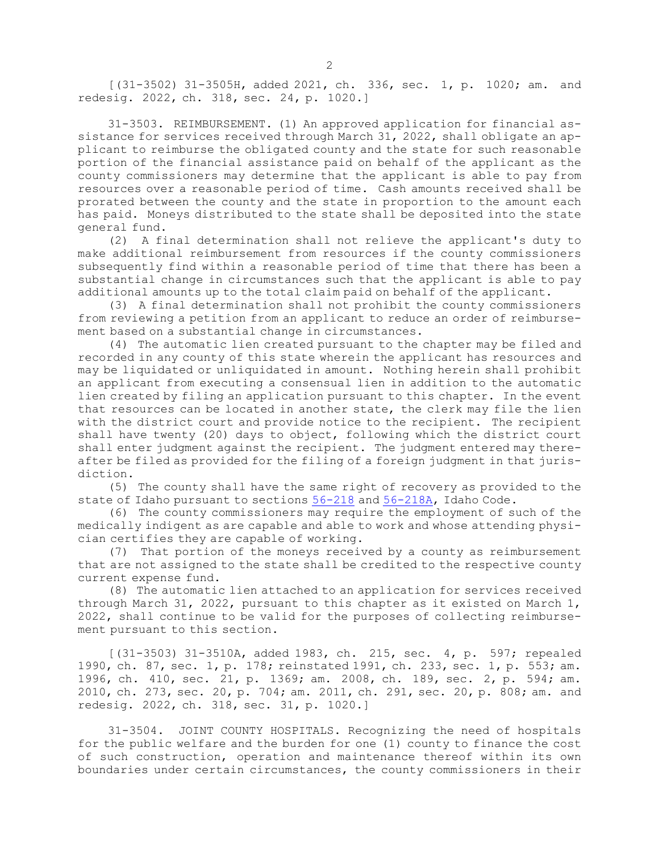[(31-3502) 31-3505H, added 2021, ch. 336, sec. 1, p. 1020; am. and redesig. 2022, ch. 318, sec. 24, p. 1020.]

31-3503. REIMBURSEMENT. (1) An approved application for financial assistance for services received through March 31, 2022, shall obligate an applicant to reimburse the obligated county and the state for such reasonable portion of the financial assistance paid on behalf of the applicant as the county commissioners may determine that the applicant is able to pay from resources over <sup>a</sup> reasonable period of time. Cash amounts received shall be prorated between the county and the state in proportion to the amount each has paid. Moneys distributed to the state shall be deposited into the state general fund.

(2) <sup>A</sup> final determination shall not relieve the applicant's duty to make additional reimbursement from resources if the county commissioners subsequently find within <sup>a</sup> reasonable period of time that there has been <sup>a</sup> substantial change in circumstances such that the applicant is able to pay additional amounts up to the total claim paid on behalf of the applicant.

(3) <sup>A</sup> final determination shall not prohibit the county commissioners from reviewing <sup>a</sup> petition from an applicant to reduce an order of reimbursement based on <sup>a</sup> substantial change in circumstances.

(4) The automatic lien created pursuant to the chapter may be filed and recorded in any county of this state wherein the applicant has resources and may be liquidated or unliquidated in amount. Nothing herein shall prohibit an applicant from executing <sup>a</sup> consensual lien in addition to the automatic lien created by filing an application pursuant to this chapter. In the event that resources can be located in another state, the clerk may file the lien with the district court and provide notice to the recipient. The recipient shall have twenty (20) days to object, following which the district court shall enter judgment against the recipient. The judgment entered may thereafter be filed as provided for the filing of <sup>a</sup> foreign judgment in that jurisdiction.

(5) The county shall have the same right of recovery as provided to the state of Idaho pursuant to sections [56-218](https://legislature.idaho.gov/statutesrules/idstat/Title56/T56CH2/SECT56-218) and [56-218A](https://legislature.idaho.gov/statutesrules/idstat/Title56/T56CH2/SECT56-218A), Idaho Code.

(6) The county commissioners may require the employment of such of the medically indigent as are capable and able to work and whose attending physician certifies they are capable of working.

(7) That portion of the moneys received by <sup>a</sup> county as reimbursement that are not assigned to the state shall be credited to the respective county current expense fund.

(8) The automatic lien attached to an application for services received through March 31, 2022, pursuant to this chapter as it existed on March 1, 2022, shall continue to be valid for the purposes of collecting reimbursement pursuant to this section.

[(31-3503) 31-3510A, added 1983, ch. 215, sec. 4, p. 597; repealed 1990, ch. 87, sec. 1, p. 178; reinstated 1991, ch. 233, sec. 1, p. 553; am. 1996, ch. 410, sec. 21, p. 1369; am. 2008, ch. 189, sec. 2, p. 594; am. 2010, ch. 273, sec. 20, p. 704; am. 2011, ch. 291, sec. 20, p. 808; am. and redesig. 2022, ch. 318, sec. 31, p. 1020.]

31-3504. JOINT COUNTY HOSPITALS. Recognizing the need of hospitals for the public welfare and the burden for one (1) county to finance the cost of such construction, operation and maintenance thereof within its own boundaries under certain circumstances, the county commissioners in their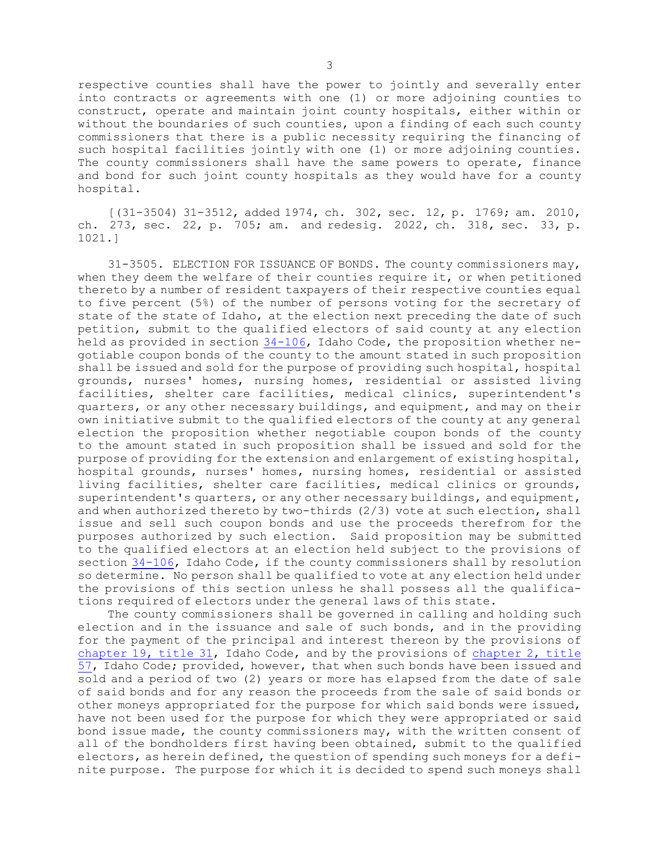respective counties shall have the power to jointly and severally enter into contracts or agreements with one (1) or more adjoining counties to construct, operate and maintain joint county hospitals, either within or without the boundaries of such counties, upon <sup>a</sup> finding of each such county commissioners that there is <sup>a</sup> public necessity requiring the financing of such hospital facilities jointly with one (1) or more adjoining counties. The county commissioners shall have the same powers to operate, finance and bond for such joint county hospitals as they would have for <sup>a</sup> county hospital.

[(31-3504) 31-3512, added 1974, ch. 302, sec. 12, p. 1769; am. 2010, ch. 273, sec. 22, p. 705; am. and redesig. 2022, ch. 318, sec. 33, p. 1021.]

31-3505. ELECTION FOR ISSUANCE OF BONDS. The county commissioners may, when they deem the welfare of their counties require it, or when petitioned thereto by <sup>a</sup> number of resident taxpayers of their respective counties equal to five percent (5%) of the number of persons voting for the secretary of state of the state of Idaho, at the election next preceding the date of such petition, submit to the qualified electors of said county at any election held as provided in section [34-106](https://legislature.idaho.gov/statutesrules/idstat/Title34/T34CH1/SECT34-106), Idaho Code, the proposition whether negotiable coupon bonds of the county to the amount stated in such proposition shall be issued and sold for the purpose of providing such hospital, hospital grounds, nurses' homes, nursing homes, residential or assisted living facilities, shelter care facilities, medical clinics, superintendent's quarters, or any other necessary buildings, and equipment, and may on their own initiative submit to the qualified electors of the county at any general election the proposition whether negotiable coupon bonds of the county to the amount stated in such proposition shall be issued and sold for the purpose of providing for the extension and enlargement of existing hospital, hospital grounds, nurses' homes, nursing homes, residential or assisted living facilities, shelter care facilities, medical clinics or grounds, superintendent's quarters, or any other necessary buildings, and equipment, and when authorized thereto by two-thirds (2/3) vote at such election, shall issue and sell such coupon bonds and use the proceeds therefrom for the purposes authorized by such election. Said proposition may be submitted to the qualified electors at an election held subject to the provisions of section [34-106](https://legislature.idaho.gov/statutesrules/idstat/Title34/T34CH1/SECT34-106), Idaho Code, if the county commissioners shall by resolution so determine. No person shall be qualified to vote at any election held under the provisions of this section unless he shall possess all the qualifications required of electors under the general laws of this state.

The county commissioners shall be governed in calling and holding such election and in the issuance and sale of such bonds, and in the providing for the payment of the principal and interest thereon by the provisions of [chapter](https://legislature.idaho.gov/statutesrules/idstat/Title31/T31CH19) 19, title 31, Idaho Code, and by the provisions of [chapter](https://legislature.idaho.gov/statutesrules/idstat/Title57/T57CH2) 2, title [57](https://legislature.idaho.gov/statutesrules/idstat/Title57/T57CH2), Idaho Code; provided, however, that when such bonds have been issued and sold and <sup>a</sup> period of two (2) years or more has elapsed from the date of sale of said bonds and for any reason the proceeds from the sale of said bonds or other moneys appropriated for the purpose for which said bonds were issued, have not been used for the purpose for which they were appropriated or said bond issue made, the county commissioners may, with the written consent of all of the bondholders first having been obtained, submit to the qualified electors, as herein defined, the question of spending such moneys for <sup>a</sup> definite purpose. The purpose for which it is decided to spend such moneys shall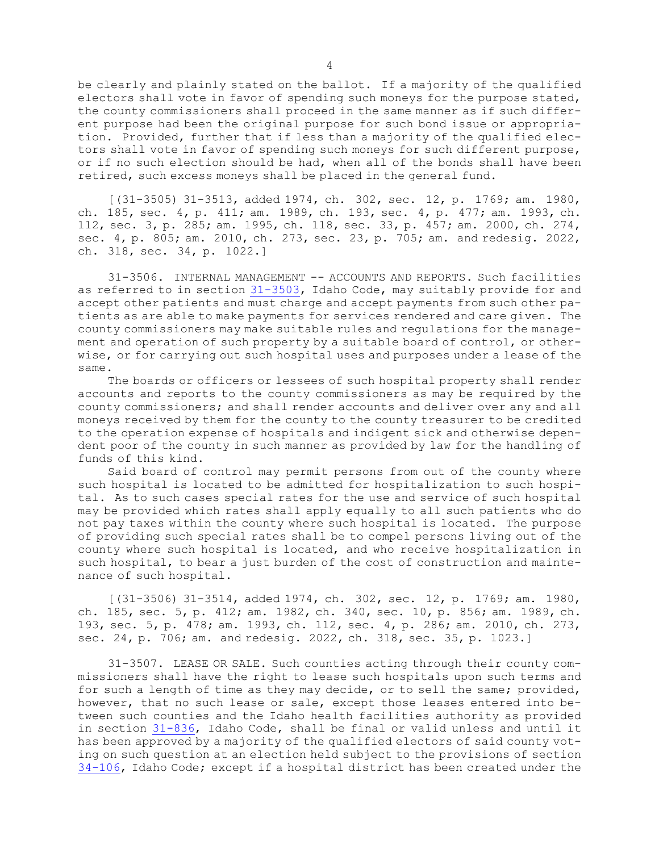be clearly and plainly stated on the ballot. If <sup>a</sup> majority of the qualified electors shall vote in favor of spending such moneys for the purpose stated, the county commissioners shall proceed in the same manner as if such different purpose had been the original purpose for such bond issue or appropriation. Provided, further that if less than <sup>a</sup> majority of the qualified electors shall vote in favor of spending such moneys for such different purpose, or if no such election should be had, when all of the bonds shall have been retired, such excess moneys shall be placed in the general fund.

[(31-3505) 31-3513, added 1974, ch. 302, sec. 12, p. 1769; am. 1980, ch. 185, sec. 4, p. 411; am. 1989, ch. 193, sec. 4, p. 477; am. 1993, ch. 112, sec. 3, p. 285; am. 1995, ch. 118, sec. 33, p. 457; am. 2000, ch. 274, sec. 4, p. 805; am. 2010, ch. 273, sec. 23, p. 705; am. and redesig. 2022, ch. 318, sec. 34, p. 1022.]

31-3506. INTERNAL MANAGEMENT -- ACCOUNTS AND REPORTS. Such facilities as referred to in section [31-3503](https://legislature.idaho.gov/statutesrules/idstat/Title31/T31CH35/SECT31-3503), Idaho Code, may suitably provide for and accept other patients and must charge and accept payments from such other patients as are able to make payments for services rendered and care given. The county commissioners may make suitable rules and regulations for the management and operation of such property by <sup>a</sup> suitable board of control, or otherwise, or for carrying out such hospital uses and purposes under <sup>a</sup> lease of the same.

The boards or officers or lessees of such hospital property shall render accounts and reports to the county commissioners as may be required by the county commissioners; and shall render accounts and deliver over any and all moneys received by them for the county to the county treasurer to be credited to the operation expense of hospitals and indigent sick and otherwise dependent poor of the county in such manner as provided by law for the handling of funds of this kind.

Said board of control may permit persons from out of the county where such hospital is located to be admitted for hospitalization to such hospital. As to such cases special rates for the use and service of such hospital may be provided which rates shall apply equally to all such patients who do not pay taxes within the county where such hospital is located. The purpose of providing such special rates shall be to compel persons living out of the county where such hospital is located, and who receive hospitalization in such hospital, to bear <sup>a</sup> just burden of the cost of construction and maintenance of such hospital.

[(31-3506) 31-3514, added 1974, ch. 302, sec. 12, p. 1769; am. 1980, ch. 185, sec. 5, p. 412; am. 1982, ch. 340, sec. 10, p. 856; am. 1989, ch. 193, sec. 5, p. 478; am. 1993, ch. 112, sec. 4, p. 286; am. 2010, ch. 273, sec. 24, p. 706; am. and redesig. 2022, ch. 318, sec. 35, p. 1023.]

31-3507. LEASE OR SALE. Such counties acting through their county commissioners shall have the right to lease such hospitals upon such terms and for such <sup>a</sup> length of time as they may decide, or to sell the same; provided, however, that no such lease or sale, except those leases entered into between such counties and the Idaho health facilities authority as provided in section [31-836](https://legislature.idaho.gov/statutesrules/idstat/Title31/T31CH8/SECT31-836), Idaho Code, shall be final or valid unless and until it has been approved by <sup>a</sup> majority of the qualified electors of said county voting on such question at an election held subject to the provisions of section [34-106](https://legislature.idaho.gov/statutesrules/idstat/Title34/T34CH1/SECT34-106), Idaho Code; except if <sup>a</sup> hospital district has been created under the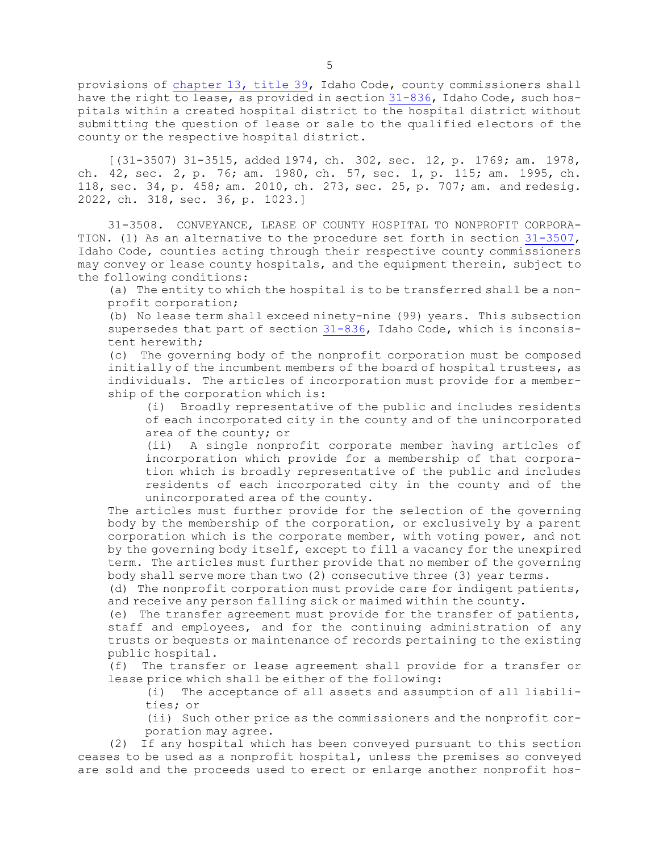provisions of [chapter](https://legislature.idaho.gov/statutesrules/idstat/Title39/T39CH13) 13, title 39, Idaho Code, county commissioners shall have the right to lease, as provided in section [31-836](https://legislature.idaho.gov/statutesrules/idstat/Title31/T31CH8/SECT31-836), Idaho Code, such hospitals within <sup>a</sup> created hospital district to the hospital district without submitting the question of lease or sale to the qualified electors of the county or the respective hospital district.

[(31-3507) 31-3515, added 1974, ch. 302, sec. 12, p. 1769; am. 1978, ch. 42, sec. 2, p. 76; am. 1980, ch. 57, sec. 1, p. 115; am. 1995, ch. 118, sec. 34, p. 458; am. 2010, ch. 273, sec. 25, p. 707; am. and redesig. 2022, ch. 318, sec. 36, p. 1023.]

31-3508. CONVEYANCE, LEASE OF COUNTY HOSPITAL TO NONPROFIT CORPORA-TION. (1) As an alternative to the procedure set forth in section [31-3507](https://legislature.idaho.gov/statutesrules/idstat/Title31/T31CH35/SECT31-3507), Idaho Code, counties acting through their respective county commissioners may convey or lease county hospitals, and the equipment therein, subject to the following conditions:

(a) The entity to which the hospital is to be transferred shall be <sup>a</sup> nonprofit corporation;

(b) No lease term shall exceed ninety-nine (99) years. This subsection supersedes that part of section [31-836](https://legislature.idaho.gov/statutesrules/idstat/Title31/T31CH8/SECT31-836), Idaho Code, which is inconsistent herewith;

(c) The governing body of the nonprofit corporation must be composed initially of the incumbent members of the board of hospital trustees, as individuals. The articles of incorporation must provide for <sup>a</sup> membership of the corporation which is:

(i) Broadly representative of the public and includes residents of each incorporated city in the county and of the unincorporated area of the county; or

(ii) <sup>A</sup> single nonprofit corporate member having articles of incorporation which provide for <sup>a</sup> membership of that corporation which is broadly representative of the public and includes residents of each incorporated city in the county and of the unincorporated area of the county.

The articles must further provide for the selection of the governing body by the membership of the corporation, or exclusively by <sup>a</sup> parent corporation which is the corporate member, with voting power, and not by the governing body itself, except to fill <sup>a</sup> vacancy for the unexpired term. The articles must further provide that no member of the governing body shall serve more than two (2) consecutive three (3) year terms.

(d) The nonprofit corporation must provide care for indigent patients, and receive any person falling sick or maimed within the county.

(e) The transfer agreement must provide for the transfer of patients, staff and employees, and for the continuing administration of any trusts or bequests or maintenance of records pertaining to the existing public hospital.

(f) The transfer or lease agreement shall provide for <sup>a</sup> transfer or lease price which shall be either of the following:

(i) The acceptance of all assets and assumption of all liabilities; or

(ii) Such other price as the commissioners and the nonprofit corporation may agree.

(2) If any hospital which has been conveyed pursuant to this section ceases to be used as <sup>a</sup> nonprofit hospital, unless the premises so conveyed are sold and the proceeds used to erect or enlarge another nonprofit hos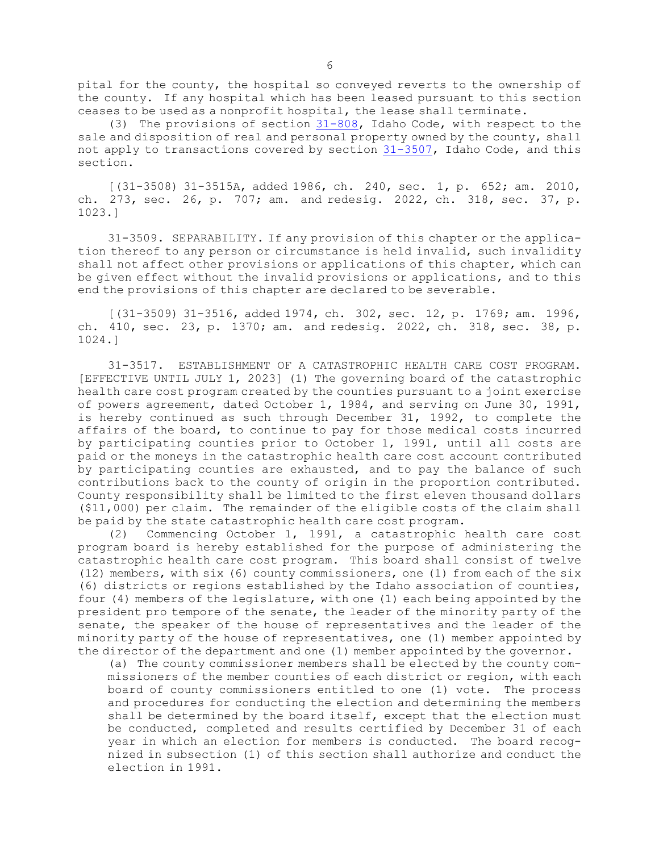pital for the county, the hospital so conveyed reverts to the ownership of the county. If any hospital which has been leased pursuant to this section ceases to be used as <sup>a</sup> nonprofit hospital, the lease shall terminate.

(3) The provisions of section [31-808](https://legislature.idaho.gov/statutesrules/idstat/Title31/T31CH8/SECT31-808), Idaho Code, with respect to the sale and disposition of real and personal property owned by the county, shall not apply to transactions covered by section [31-3507](https://legislature.idaho.gov/statutesrules/idstat/Title31/T31CH35/SECT31-3507), Idaho Code, and this section.

[(31-3508) 31-3515A, added 1986, ch. 240, sec. 1, p. 652; am. 2010, ch. 273, sec. 26, p. 707; am. and redesig. 2022, ch. 318, sec. 37, p. 1023.]

31-3509. SEPARABILITY. If any provision of this chapter or the application thereof to any person or circumstance is held invalid, such invalidity shall not affect other provisions or applications of this chapter, which can be given effect without the invalid provisions or applications, and to this end the provisions of this chapter are declared to be severable.

[(31-3509) 31-3516, added 1974, ch. 302, sec. 12, p. 1769; am. 1996, ch. 410, sec. 23, p. 1370; am. and redesig. 2022, ch. 318, sec. 38, p. 1024.]

31-3517. ESTABLISHMENT OF A CATASTROPHIC HEALTH CARE COST PROGRAM. [EFFECTIVE UNTIL JULY 1, 2023] (1) The governing board of the catastrophic health care cost program created by the counties pursuant to <sup>a</sup> joint exercise of powers agreement, dated October 1, 1984, and serving on June 30, 1991, is hereby continued as such through December 31, 1992, to complete the affairs of the board, to continue to pay for those medical costs incurred by participating counties prior to October 1, 1991, until all costs are paid or the moneys in the catastrophic health care cost account contributed by participating counties are exhausted, and to pay the balance of such contributions back to the county of origin in the proportion contributed. County responsibility shall be limited to the first eleven thousand dollars (\$11,000) per claim. The remainder of the eligible costs of the claim shall be paid by the state catastrophic health care cost program.

(2) Commencing October 1, 1991, <sup>a</sup> catastrophic health care cost program board is hereby established for the purpose of administering the catastrophic health care cost program. This board shall consist of twelve (12) members, with six (6) county commissioners, one (1) from each of the six (6) districts or regions established by the Idaho association of counties, four (4) members of the legislature, with one (1) each being appointed by the president pro tempore of the senate, the leader of the minority party of the senate, the speaker of the house of representatives and the leader of the minority party of the house of representatives, one (1) member appointed by the director of the department and one (1) member appointed by the governor.

(a) The county commissioner members shall be elected by the county commissioners of the member counties of each district or region, with each board of county commissioners entitled to one (1) vote. The process and procedures for conducting the election and determining the members shall be determined by the board itself, except that the election must be conducted, completed and results certified by December 31 of each year in which an election for members is conducted. The board recognized in subsection (1) of this section shall authorize and conduct the election in 1991.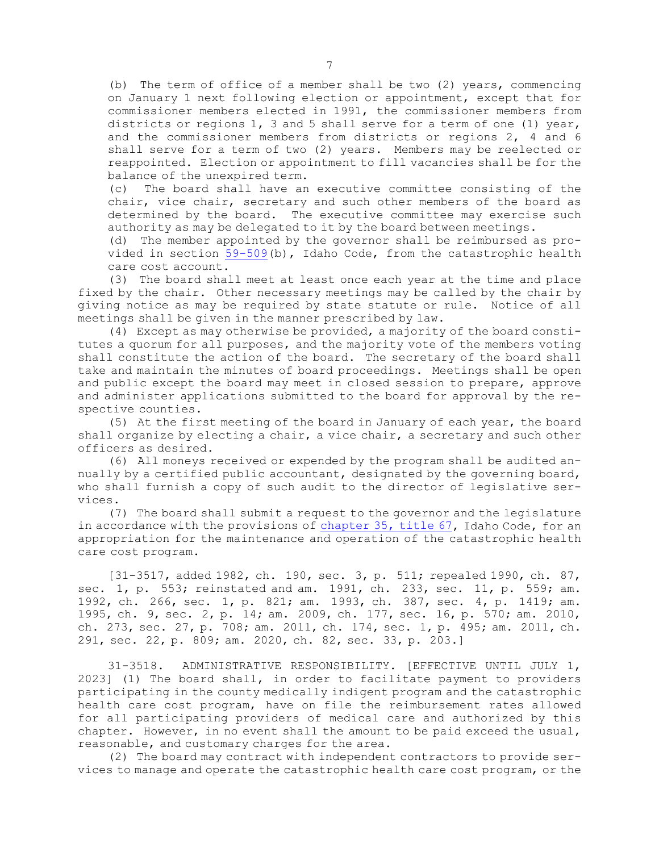(b) The term of office of <sup>a</sup> member shall be two (2) years, commencing on January 1 next following election or appointment, except that for commissioner members elected in 1991, the commissioner members from districts or regions 1, 3 and 5 shall serve for <sup>a</sup> term of one (1) year, and the commissioner members from districts or regions 2, 4 and 6 shall serve for <sup>a</sup> term of two (2) years. Members may be reelected or reappointed. Election or appointment to fill vacancies shall be for the balance of the unexpired term.

(c) The board shall have an executive committee consisting of the chair, vice chair, secretary and such other members of the board as determined by the board. The executive committee may exercise such authority as may be delegated to it by the board between meetings.

(d) The member appointed by the governor shall be reimbursed as provided in section [59-509](https://legislature.idaho.gov/statutesrules/idstat/Title59/T59CH5/SECT59-509)(b), Idaho Code, from the catastrophic health care cost account.

(3) The board shall meet at least once each year at the time and place fixed by the chair. Other necessary meetings may be called by the chair by giving notice as may be required by state statute or rule. Notice of all meetings shall be given in the manner prescribed by law.

(4) Except as may otherwise be provided, <sup>a</sup> majority of the board constitutes <sup>a</sup> quorum for all purposes, and the majority vote of the members voting shall constitute the action of the board. The secretary of the board shall take and maintain the minutes of board proceedings. Meetings shall be open and public except the board may meet in closed session to prepare, approve and administer applications submitted to the board for approval by the respective counties.

(5) At the first meeting of the board in January of each year, the board shall organize by electing <sup>a</sup> chair, <sup>a</sup> vice chair, <sup>a</sup> secretary and such other officers as desired.

(6) All moneys received or expended by the program shall be audited annually by <sup>a</sup> certified public accountant, designated by the governing board, who shall furnish <sup>a</sup> copy of such audit to the director of legislative services.

(7) The board shall submit <sup>a</sup> request to the governor and the legislature in accordance with the provisions of [chapter](https://legislature.idaho.gov/statutesrules/idstat/Title67/T67CH35) 35, title 67, Idaho Code, for an appropriation for the maintenance and operation of the catastrophic health care cost program.

[31-3517, added 1982, ch. 190, sec. 3, p. 511; repealed 1990, ch. 87, sec. 1, p. 553; reinstated and am. 1991, ch. 233, sec. 11, p. 559; am. 1992, ch. 266, sec. 1, p. 821; am. 1993, ch. 387, sec. 4, p. 1419; am. 1995, ch. 9, sec. 2, p. 14; am. 2009, ch. 177, sec. 16, p. 570; am. 2010, ch. 273, sec. 27, p. 708; am. 2011, ch. 174, sec. 1, p. 495; am. 2011, ch. 291, sec. 22, p. 809; am. 2020, ch. 82, sec. 33, p. 203.]

31-3518. ADMINISTRATIVE RESPONSIBILITY. [EFFECTIVE UNTIL JULY 1, 2023] (1) The board shall, in order to facilitate payment to providers participating in the county medically indigent program and the catastrophic health care cost program, have on file the reimbursement rates allowed for all participating providers of medical care and authorized by this chapter. However, in no event shall the amount to be paid exceed the usual, reasonable, and customary charges for the area.

(2) The board may contract with independent contractors to provide services to manage and operate the catastrophic health care cost program, or the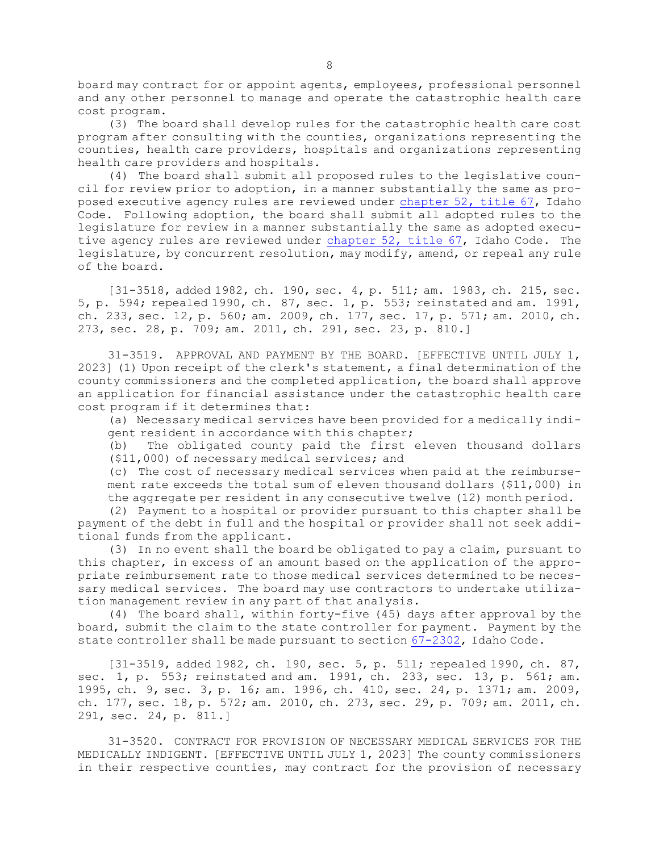board may contract for or appoint agents, employees, professional personnel and any other personnel to manage and operate the catastrophic health care cost program.

(3) The board shall develop rules for the catastrophic health care cost program after consulting with the counties, organizations representing the counties, health care providers, hospitals and organizations representing health care providers and hospitals.

(4) The board shall submit all proposed rules to the legislative council for review prior to adoption, in <sup>a</sup> manner substantially the same as proposed executive agency rules are reviewed under [chapter](https://legislature.idaho.gov/statutesrules/idstat/Title67/T67CH52) 52, title 67, Idaho Code. Following adoption, the board shall submit all adopted rules to the legislature for review in <sup>a</sup> manner substantially the same as adopted executive agency rules are reviewed under [chapter](https://legislature.idaho.gov/statutesrules/idstat/Title67/T67CH52) 52, title 67, Idaho Code. The legislature, by concurrent resolution, may modify, amend, or repeal any rule of the board.

[31-3518, added 1982, ch. 190, sec. 4, p. 511; am. 1983, ch. 215, sec. 5, p. 594; repealed 1990, ch. 87, sec. 1, p. 553; reinstated and am. 1991, ch. 233, sec. 12, p. 560; am. 2009, ch. 177, sec. 17, p. 571; am. 2010, ch. 273, sec. 28, p. 709; am. 2011, ch. 291, sec. 23, p. 810.]

31-3519. APPROVAL AND PAYMENT BY THE BOARD. [EFFECTIVE UNTIL JULY 1, 2023] (1) Upon receipt of the clerk's statement, <sup>a</sup> final determination of the county commissioners and the completed application, the board shall approve an application for financial assistance under the catastrophic health care cost program if it determines that:

(a) Necessary medical services have been provided for <sup>a</sup> medically indigent resident in accordance with this chapter;

(b) The obligated county paid the first eleven thousand dollars (\$11,000) of necessary medical services; and

(c) The cost of necessary medical services when paid at the reimbursement rate exceeds the total sum of eleven thousand dollars (\$11,000) in the aggregate per resident in any consecutive twelve (12) month period.

(2) Payment to <sup>a</sup> hospital or provider pursuant to this chapter shall be payment of the debt in full and the hospital or provider shall not seek additional funds from the applicant.

(3) In no event shall the board be obligated to pay <sup>a</sup> claim, pursuant to this chapter, in excess of an amount based on the application of the appropriate reimbursement rate to those medical services determined to be necessary medical services. The board may use contractors to undertake utilization management review in any part of that analysis.

(4) The board shall, within forty-five (45) days after approval by the board, submit the claim to the state controller for payment. Payment by the state controller shall be made pursuant to section [67-2302](https://legislature.idaho.gov/statutesrules/idstat/Title67/T67CH23/SECT67-2302), Idaho Code.

[31-3519, added 1982, ch. 190, sec. 5, p. 511; repealed 1990, ch. 87, sec. 1, p. 553; reinstated and am. 1991, ch. 233, sec. 13, p. 561; am. 1995, ch. 9, sec. 3, p. 16; am. 1996, ch. 410, sec. 24, p. 1371; am. 2009, ch. 177, sec. 18, p. 572; am. 2010, ch. 273, sec. 29, p. 709; am. 2011, ch. 291, sec. 24, p. 811.]

31-3520. CONTRACT FOR PROVISION OF NECESSARY MEDICAL SERVICES FOR THE MEDICALLY INDIGENT. [EFFECTIVE UNTIL JULY 1, 2023] The county commissioners in their respective counties, may contract for the provision of necessary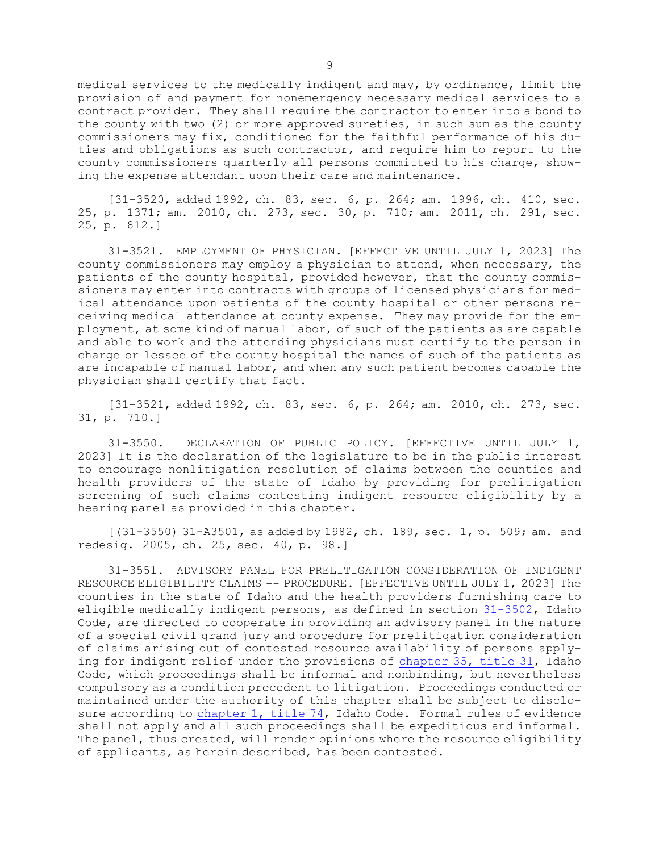medical services to the medically indigent and may, by ordinance, limit the provision of and payment for nonemergency necessary medical services to <sup>a</sup> contract provider. They shall require the contractor to enter into <sup>a</sup> bond to the county with two (2) or more approved sureties, in such sum as the county commissioners may fix, conditioned for the faithful performance of his duties and obligations as such contractor, and require him to report to the county commissioners quarterly all persons committed to his charge, showing the expense attendant upon their care and maintenance.

[31-3520, added 1992, ch. 83, sec. 6, p. 264; am. 1996, ch. 410, sec. 25, p. 1371; am. 2010, ch. 273, sec. 30, p. 710; am. 2011, ch. 291, sec. 25, p. 812.]

31-3521. EMPLOYMENT OF PHYSICIAN. [EFFECTIVE UNTIL JULY 1, 2023] The county commissioners may employ <sup>a</sup> physician to attend, when necessary, the patients of the county hospital, provided however, that the county commissioners may enter into contracts with groups of licensed physicians for medical attendance upon patients of the county hospital or other persons receiving medical attendance at county expense. They may provide for the employment, at some kind of manual labor, of such of the patients as are capable and able to work and the attending physicians must certify to the person in charge or lessee of the county hospital the names of such of the patients as are incapable of manual labor, and when any such patient becomes capable the physician shall certify that fact.

[31-3521, added 1992, ch. 83, sec. 6, p. 264; am. 2010, ch. 273, sec. 31, p. 710.]

31-3550. DECLARATION OF PUBLIC POLICY. [EFFECTIVE UNTIL JULY 1, 2023] It is the declaration of the legislature to be in the public interest to encourage nonlitigation resolution of claims between the counties and health providers of the state of Idaho by providing for prelitigation screening of such claims contesting indigent resource eligibility by <sup>a</sup> hearing panel as provided in this chapter.

[(31-3550) 31-A3501, as added by 1982, ch. 189, sec. 1, p. 509; am. and redesig. 2005, ch. 25, sec. 40, p. 98.]

31-3551. ADVISORY PANEL FOR PRELITIGATION CONSIDERATION OF INDIGENT RESOURCE ELIGIBILITY CLAIMS -- PROCEDURE. [EFFECTIVE UNTIL JULY 1, 2023] The counties in the state of Idaho and the health providers furnishing care to eligible medically indigent persons, as defined in section [31-3502](https://legislature.idaho.gov/statutesrules/idstat/Title31/T31CH35/SECT31-3502), Idaho Code, are directed to cooperate in providing an advisory panel in the nature of <sup>a</sup> special civil grand jury and procedure for prelitigation consideration of claims arising out of contested resource availability of persons applying for indigent relief under the provisions of [chapter](https://legislature.idaho.gov/statutesrules/idstat/Title31/T31CH35) 35, title 31, Idaho Code, which proceedings shall be informal and nonbinding, but nevertheless compulsory as <sup>a</sup> condition precedent to litigation. Proceedings conducted or maintained under the authority of this chapter shall be subject to disclosure according to [chapter](https://legislature.idaho.gov/statutesrules/idstat/Title74/T74CH1) 1, title 74, Idaho Code. Formal rules of evidence shall not apply and all such proceedings shall be expeditious and informal. The panel, thus created, will render opinions where the resource eligibility of applicants, as herein described, has been contested.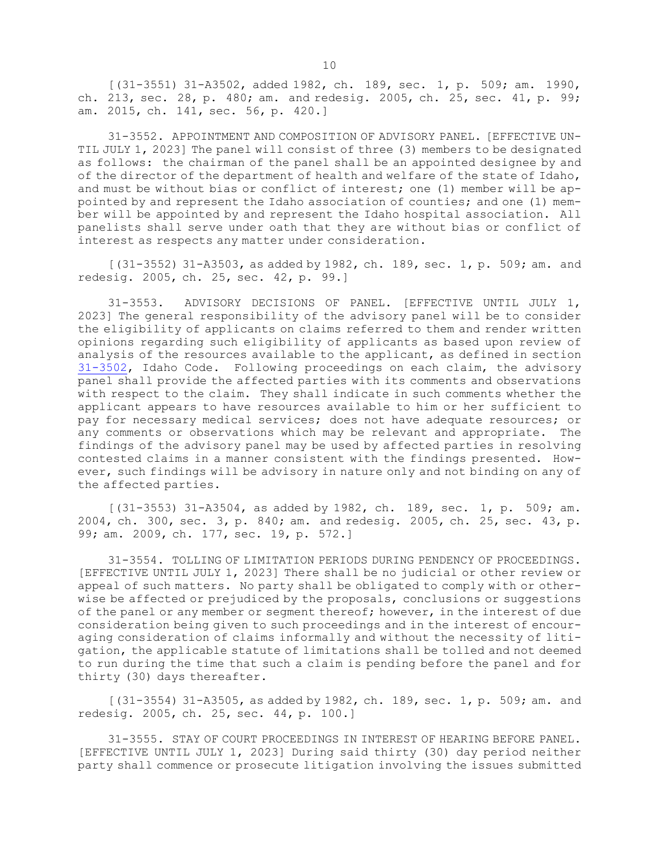[(31-3551) 31-A3502, added 1982, ch. 189, sec. 1, p. 509; am. 1990, ch. 213, sec. 28, p. 480; am. and redesig. 2005, ch. 25, sec. 41, p. 99; am. 2015, ch. 141, sec. 56, p. 420.]

31-3552. APPOINTMENT AND COMPOSITION OF ADVISORY PANEL. [EFFECTIVE UN-TIL JULY 1, 2023] The panel will consist of three (3) members to be designated as follows: the chairman of the panel shall be an appointed designee by and of the director of the department of health and welfare of the state of Idaho, and must be without bias or conflict of interest; one (1) member will be appointed by and represent the Idaho association of counties; and one (1) member will be appointed by and represent the Idaho hospital association. All panelists shall serve under oath that they are without bias or conflict of interest as respects any matter under consideration.

[(31-3552) 31-A3503, as added by 1982, ch. 189, sec. 1, p. 509; am. and redesig. 2005, ch. 25, sec. 42, p. 99.]

31-3553. ADVISORY DECISIONS OF PANEL. [EFFECTIVE UNTIL JULY 1, 2023] The general responsibility of the advisory panel will be to consider the eligibility of applicants on claims referred to them and render written opinions regarding such eligibility of applicants as based upon review of analysis of the resources available to the applicant, as defined in section [31-3502](https://legislature.idaho.gov/statutesrules/idstat/Title31/T31CH35/SECT31-3502), Idaho Code. Following proceedings on each claim, the advisory panel shall provide the affected parties with its comments and observations with respect to the claim. They shall indicate in such comments whether the applicant appears to have resources available to him or her sufficient to pay for necessary medical services; does not have adequate resources; or any comments or observations which may be relevant and appropriate. The findings of the advisory panel may be used by affected parties in resolving contested claims in <sup>a</sup> manner consistent with the findings presented. However, such findings will be advisory in nature only and not binding on any of the affected parties.

[(31-3553) 31-A3504, as added by 1982, ch. 189, sec. 1, p. 509; am. 2004, ch. 300, sec. 3, p. 840; am. and redesig. 2005, ch. 25, sec. 43, p. 99; am. 2009, ch. 177, sec. 19, p. 572.]

31-3554. TOLLING OF LIMITATION PERIODS DURING PENDENCY OF PROCEEDINGS. [EFFECTIVE UNTIL JULY 1, 2023] There shall be no judicial or other review or appeal of such matters. No party shall be obligated to comply with or otherwise be affected or prejudiced by the proposals, conclusions or suggestions of the panel or any member or segment thereof; however, in the interest of due consideration being given to such proceedings and in the interest of encouraging consideration of claims informally and without the necessity of litigation, the applicable statute of limitations shall be tolled and not deemed to run during the time that such <sup>a</sup> claim is pending before the panel and for thirty (30) days thereafter.

[(31-3554) 31-A3505, as added by 1982, ch. 189, sec. 1, p. 509; am. and redesig. 2005, ch. 25, sec. 44, p. 100.]

31-3555. STAY OF COURT PROCEEDINGS IN INTEREST OF HEARING BEFORE PANEL. [EFFECTIVE UNTIL JULY 1, 2023] During said thirty (30) day period neither party shall commence or prosecute litigation involving the issues submitted